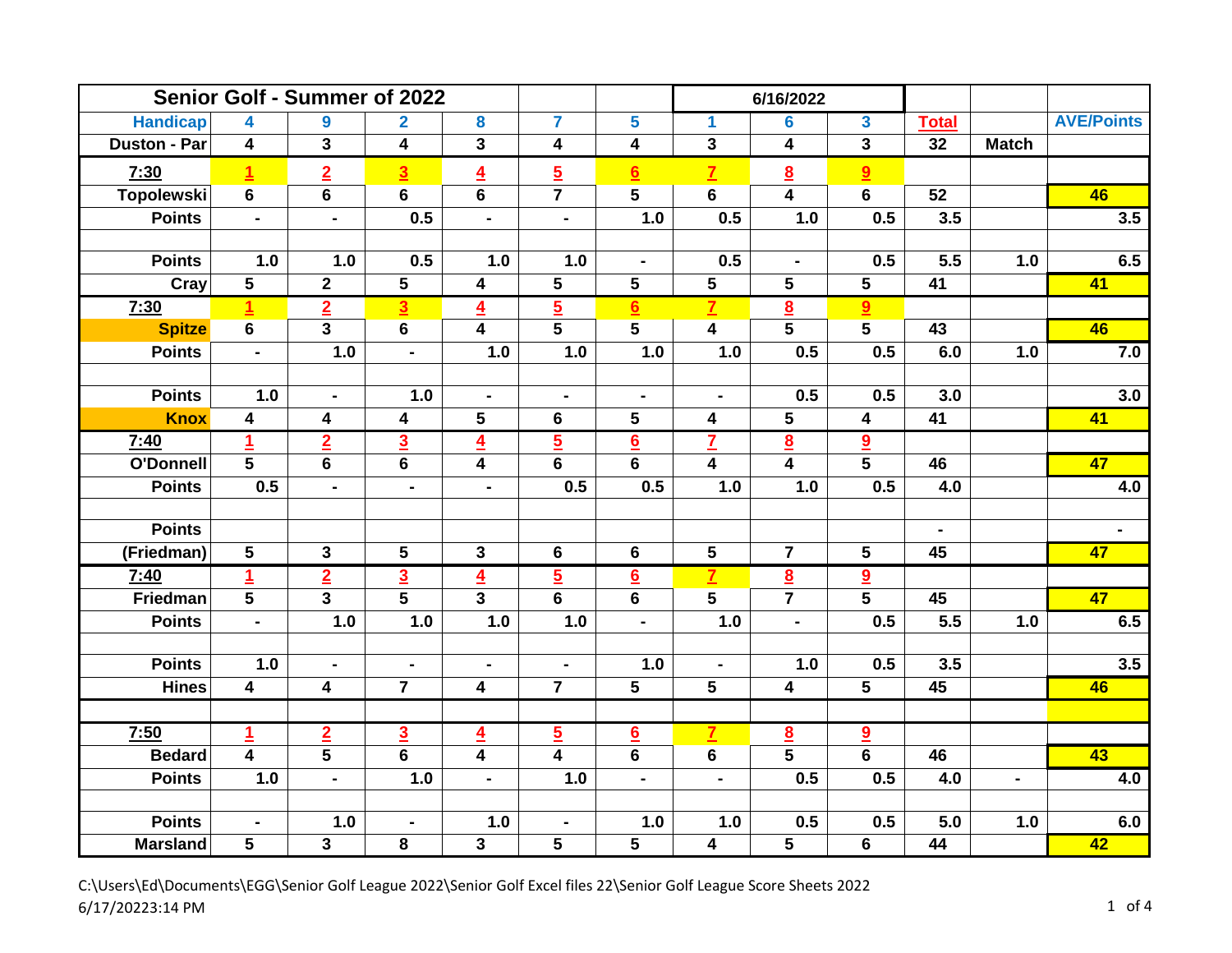| Senior Golf - Summer of 2022 |                         |                         | 6/16/2022               |                         |                         |                  |                         |                             |                         |                  |                |                   |
|------------------------------|-------------------------|-------------------------|-------------------------|-------------------------|-------------------------|------------------|-------------------------|-----------------------------|-------------------------|------------------|----------------|-------------------|
| <b>Handicap</b>              | 4                       | 9                       | $\overline{\mathbf{2}}$ | 8                       | $\overline{\mathbf{7}}$ | 5                | $\mathbf{1}$            | $6\phantom{a}$              | $\overline{\mathbf{3}}$ | <b>Total</b>     |                | <b>AVE/Points</b> |
| Duston - Par                 | $\overline{\mathbf{4}}$ | 3                       | $\overline{\mathbf{4}}$ | $\overline{\mathbf{3}}$ | $\overline{\mathbf{4}}$ | 4                | $\mathbf{3}$            | $\overline{\mathbf{4}}$     | $\overline{\mathbf{3}}$ | 32               | <b>Match</b>   |                   |
| 7:30                         | $\overline{1}$          | $\overline{2}$          | $\overline{3}$          | $\overline{4}$          | $\overline{5}$          | 6                | $\overline{1}$          | $\underline{8}$             | 9                       |                  |                |                   |
| <b>Topolewski</b>            | $6\phantom{a}$          | $6\phantom{a}$          | $6\phantom{1}$          | $6\phantom{a}$          | $\overline{7}$          | 5                | $6\phantom{a}$          | $\overline{4}$              | $6\phantom{a}$          | 52               |                | 46                |
| <b>Points</b>                | $\blacksquare$          | $\blacksquare$          | 0.5                     | $\blacksquare$          | $\blacksquare$          | 1.0              | 0.5                     | $1.0$                       | 0.5                     | 3.5              |                | 3.5               |
|                              |                         |                         |                         |                         |                         |                  |                         |                             |                         |                  |                |                   |
| <b>Points</b>                | 1.0                     | 1.0                     | 0.5                     | 1.0                     | $1.0$                   | $\blacksquare$   | 0.5                     | $\blacksquare$              | 0.5                     | 5.5              | 1.0            | 6.5               |
| Cray                         | 5                       | $\overline{2}$          | $\overline{5}$          | 4                       | 5                       | 5                | 5                       | $5\phantom{.0}$             | 5                       | 41               |                | 41                |
| 7:30                         |                         | $\overline{2}$          | $\overline{3}$          | $\overline{4}$          | $\overline{5}$          | $6\phantom{a}$   | $\overline{7}$          | $\underline{8}$             | 9                       |                  |                |                   |
| <b>Spitze</b>                | $6\phantom{a}$          | 3                       | $6\phantom{a}$          | $\overline{\mathbf{4}}$ | $\overline{5}$          | $5\phantom{.0}$  | $\overline{\mathbf{4}}$ | $\overline{5}$              | 5                       | 43               |                | 46                |
| <b>Points</b>                | $\blacksquare$          | $1.0$                   | $\blacksquare$          | $1.0$                   | $1.0$                   | $1.0$            | 1.0                     | 0.5                         | 0.5                     | 6.0              | 1.0            | 7.0               |
|                              |                         |                         |                         |                         |                         |                  |                         |                             |                         |                  |                |                   |
| <b>Points</b>                | 1.0                     | $\blacksquare$          | 1.0                     | $\blacksquare$          | $\blacksquare$          | $\blacksquare$   | $\blacksquare$          | 0.5                         | 0.5                     | 3.0              |                | 3.0               |
| <b>Knox</b>                  | 4                       | 4                       | $\overline{\mathbf{4}}$ | 5                       | 6                       | 5                | 4                       | 5                           | 4                       | 41               |                | 41                |
| 7:40                         | <u>1</u>                | $\overline{\mathbf{2}}$ | $\overline{\mathbf{3}}$ | $\overline{4}$          | $\overline{5}$          | $6 \overline{6}$ | $\overline{\mathbf{Z}}$ | $\underline{8}$             | 9                       |                  |                |                   |
| <b>O'Donnell</b>             | $\overline{5}$          | $6\phantom{a}$          | $6\phantom{1}$          | 4                       | $6\phantom{a}$          | $6\phantom{a}$   | $\overline{\mathbf{4}}$ | 4                           | 5                       | 46               |                | 47                |
| <b>Points</b>                | 0.5                     | $\blacksquare$          | $\blacksquare$          | $\blacksquare$          | 0.5                     | 0.5              | 1.0                     | 1.0                         | 0.5                     | 4.0              |                | 4.0               |
|                              |                         |                         |                         |                         |                         |                  |                         |                             |                         |                  |                |                   |
| <b>Points</b>                |                         |                         |                         |                         |                         |                  |                         |                             |                         | ٠                |                | $\blacksquare$    |
| (Friedman)                   | 5                       | $\overline{\mathbf{3}}$ | 5                       | $\overline{\mathbf{3}}$ | $6\phantom{a}$          | $6\phantom{a}$   | 5                       | $\overline{7}$              | 5                       | 45               |                | 47                |
| 7:40                         | <u>1</u>                | $\overline{2}$          | $\overline{3}$          | $\overline{4}$          | $\overline{5}$          | $6 \overline{6}$ | $\overline{7}$          | $\overline{\mathbf{g}}$     | $\overline{\mathbf{g}}$ |                  |                |                   |
| Friedman                     | $\overline{5}$          | $\overline{\mathbf{3}}$ | $\overline{5}$          | $\overline{\mathbf{3}}$ | $6\overline{6}$         | $6\phantom{a}$   | 5                       | $\overline{7}$              | $\overline{5}$          | 45               |                | 47                |
| <b>Points</b>                | $\blacksquare$          | 1.0                     | 1.0                     | 1.0                     | 1.0                     | $\blacksquare$   | 1.0                     | $\blacksquare$              | 0.5                     | $\overline{5.5}$ | 1.0            | 6.5               |
|                              |                         |                         |                         |                         |                         |                  |                         |                             |                         |                  |                |                   |
| <b>Points</b>                | 1.0                     | $\blacksquare$          | $\blacksquare$          | $\blacksquare$          | $\blacksquare$          | 1.0              | $\blacksquare$          | 1.0                         | 0.5                     | 3.5              |                | 3.5               |
| <b>Hines</b>                 | $\overline{\mathbf{4}}$ | $\overline{\mathbf{4}}$ | $\overline{7}$          | $\overline{\mathbf{4}}$ | $\overline{7}$          | $\overline{5}$   | 5                       | $\overline{\mathbf{4}}$     | 5                       | 45               |                | 46                |
|                              |                         |                         |                         |                         |                         |                  |                         |                             |                         |                  |                |                   |
| 7:50                         | <u>1</u>                | $\overline{2}$          | $\overline{3}$          | $\overline{4}$          | $\overline{5}$          | $\underline{6}$  | $\overline{\mathbf{Z}}$ | $\underline{\underline{8}}$ | $\overline{\mathbf{a}}$ |                  |                |                   |
| <b>Bedard</b>                | $\overline{4}$          | $\overline{5}$          | $\overline{6}$          | $\overline{\bf{4}}$     | $\overline{\mathbf{4}}$ | $6\phantom{a}$   | 6                       | $\overline{5}$              | $6\phantom{a}$          | 46               |                | 43                |
| <b>Points</b>                | 1.0                     | $\blacksquare$          | 1.0                     | $\blacksquare$          | 1.0                     | $\blacksquare$   | $\blacksquare$          | 0.5                         | 0.5                     | 4.0              | $\blacksquare$ | 4.0               |
|                              |                         |                         |                         |                         |                         |                  |                         |                             |                         |                  |                |                   |
| <b>Points</b>                | $\blacksquare$          | 1.0                     | $\blacksquare$          | 1.0                     | $\blacksquare$          | 1.0              | 1.0                     | 0.5                         | 0.5                     | 5.0              | 1.0            | 6.0               |
| <b>Marsland</b>              | 5                       | $\overline{\mathbf{3}}$ | 8                       | $\overline{\mathbf{3}}$ | 5                       | 5                | 4                       | 5                           | $6\phantom{a}$          | 44               |                | 42                |

C:\Users\Ed\Documents\EGG\Senior Golf League 2022\Senior Golf Excel files 22\Senior Golf League Score Sheets 2022 6/17/20223:14 PM 1 of 4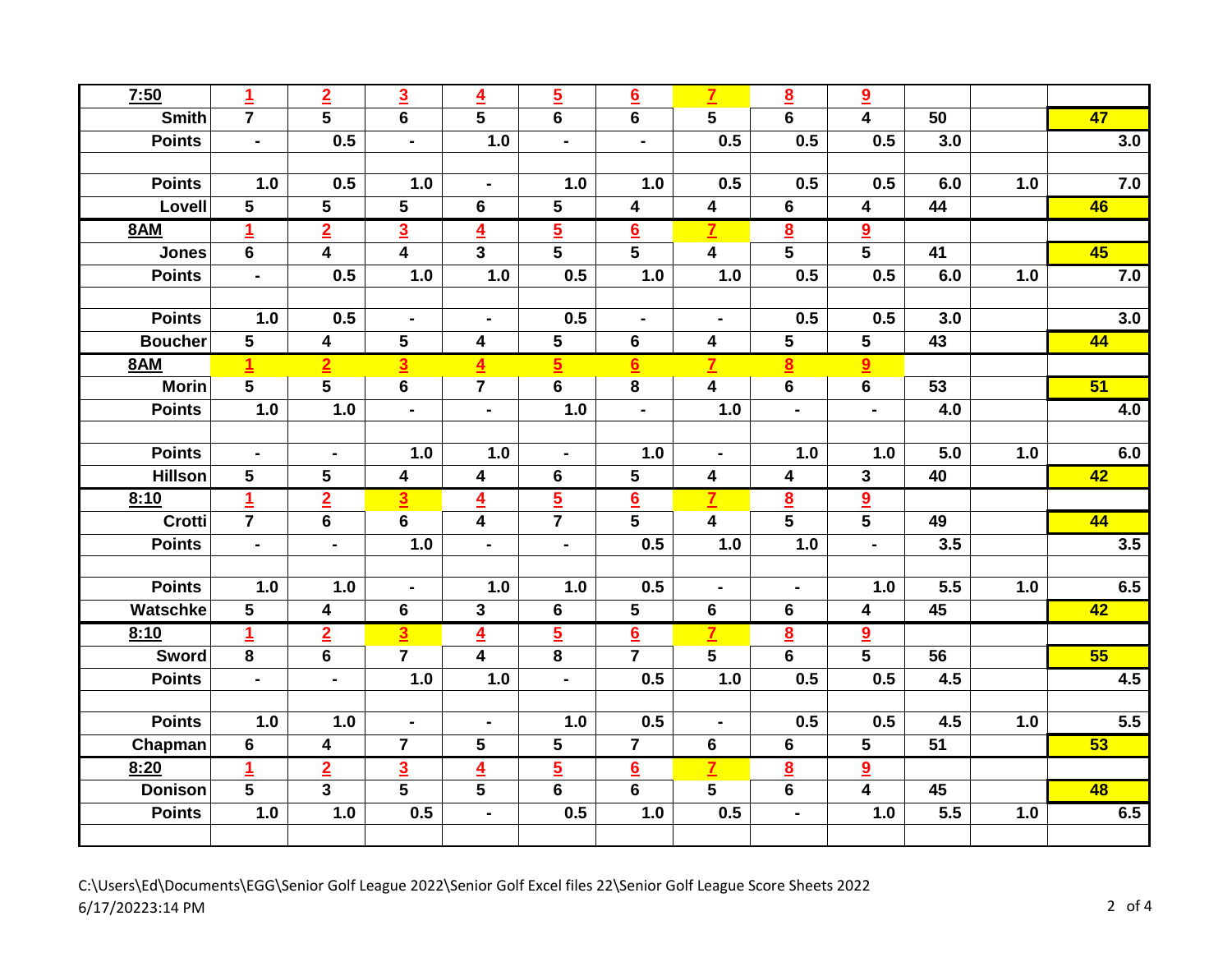| 7:50           | $\overline{1}$          | $\overline{2}$          | $\overline{3}$  | $\overline{4}$          | $\overline{5}$ | $6 \overline{6}$ | $\overline{L}$          | 8                        | 9                       |     |     |     |
|----------------|-------------------------|-------------------------|-----------------|-------------------------|----------------|------------------|-------------------------|--------------------------|-------------------------|-----|-----|-----|
| <b>Smith</b>   | $\overline{7}$          | 5                       | $6\phantom{a}$  | 5                       | 6              | $6\phantom{a}$   | 5                       | 6                        | 4                       | 50  |     | 47  |
| <b>Points</b>  | $\blacksquare$          | 0.5                     | ä,              | 1.0                     | $\overline{a}$ | $\mathbf{r}$     | 0.5                     | 0.5                      | 0.5                     | 3.0 |     | 3.0 |
|                |                         |                         |                 |                         |                |                  |                         |                          |                         |     |     |     |
| <b>Points</b>  | 1.0                     | 0.5                     | 1.0             | $\blacksquare$          | $1.0$          | 1.0              | 0.5                     | 0.5                      | 0.5                     | 6.0 | 1.0 | 7.0 |
| Lovell         | 5                       | 5                       | $\overline{5}$  | $6\phantom{a}$          | 5              | 4                | 4                       | 6                        | 4                       | 44  |     | 46  |
| <b>8AM</b>     | $\overline{1}$          | $\overline{2}$          | $\overline{3}$  | $\overline{4}$          | $\overline{5}$ | $6 \overline{6}$ | $\overline{L}$          | $\underline{8}$          | 9                       |     |     |     |
| <b>Jones</b>   | $6\phantom{a}$          | 4                       | $\overline{4}$  | $\overline{\mathbf{3}}$ | $\overline{5}$ | $\overline{5}$   | $\overline{\mathbf{4}}$ | $\overline{5}$           | $\overline{5}$          | 41  |     | 45  |
| <b>Points</b>  | $\blacksquare$          | 0.5                     | $1.0$           | $1.0$                   | 0.5            | $1.0$            | $1.0$                   | 0.5                      | 0.5                     | 6.0 | 1.0 | 7.0 |
|                |                         |                         |                 |                         |                |                  |                         |                          |                         |     |     |     |
| <b>Points</b>  | 1.0                     | 0.5                     | $\blacksquare$  | $\blacksquare$          | 0.5            | $\blacksquare$   | $\blacksquare$          | 0.5                      | 0.5                     | 3.0 |     | 3.0 |
| <b>Boucher</b> | 5                       | 4                       | $5\phantom{.0}$ | 4                       | 5              | $6\phantom{a}$   | 4                       | 5                        | 5                       | 43  |     | 44  |
| 8AM            | $\blacksquare$          | $\overline{2}$          | $\overline{3}$  | $\overline{4}$          | $\overline{5}$ | $6\overline{6}$  | $\overline{7}$          | 8                        | $\overline{9}$          |     |     |     |
| <b>Morin</b>   | $\overline{\mathbf{5}}$ | 5                       | $6\phantom{a}$  | $\overline{7}$          | $6\phantom{a}$ | 8                | $\overline{\mathbf{4}}$ | $6\phantom{a}$           | $6\phantom{a}$          | 53  |     | 51  |
| <b>Points</b>  | $1.0$                   | 1.0                     | $\blacksquare$  | $\blacksquare$          | $1.0$          | $\blacksquare$   | 1.0                     | $\blacksquare$           | $\blacksquare$          | 4.0 |     | 4.0 |
|                |                         |                         |                 |                         |                |                  |                         |                          |                         |     |     |     |
| <b>Points</b>  | $\blacksquare$          | $\blacksquare$          | 1.0             | 1.0                     | $\blacksquare$ | 1.0              | $\blacksquare$          | 1.0                      | 1.0                     | 5.0 | 1.0 | 6.0 |
| <b>Hillson</b> | 5                       | 5                       | 4               | 4                       | 6              | $\overline{5}$   | $\overline{\mathbf{4}}$ | $\overline{\mathbf{4}}$  | $\overline{\mathbf{3}}$ | 40  |     | 42  |
| 8:10           | $\overline{1}$          | $\overline{2}$          | $\overline{3}$  | $\overline{4}$          | $\overline{5}$ | $\underline{6}$  | $\overline{1}$          | $\underline{\mathbf{8}}$ | $\overline{\mathbf{a}}$ |     |     |     |
| <b>Crotti</b>  | $\overline{7}$          | $6\phantom{a}$          | $6\phantom{a}$  | $\overline{\mathbf{4}}$ | $\overline{7}$ |                  |                         | $\overline{\mathbf{5}}$  | 5                       |     |     |     |
|                |                         |                         |                 |                         |                | 5                | $\overline{\mathbf{4}}$ |                          |                         | 49  |     | 44  |
| <b>Points</b>  | $\blacksquare$          | $\blacksquare$          | $1.0$           | $\blacksquare$          | $\blacksquare$ | 0.5              | 1.0                     | 1.0                      | $\blacksquare$          | 3.5 |     | 3.5 |
|                |                         |                         |                 |                         |                |                  |                         |                          |                         |     |     |     |
| <b>Points</b>  | 1.0                     | 1.0                     | $\blacksquare$  | 1.0                     | $1.0$          | 0.5              | $\blacksquare$          | $\blacksquare$           | 1.0                     | 5.5 | 1.0 | 6.5 |
| Watschke       | 5                       | $\overline{\mathbf{4}}$ | $6\phantom{1}$  | 3                       | $6\phantom{a}$ | 5                | $6\phantom{a}$          | $6\phantom{a}$           | 4                       | 45  |     | 42  |
| 8:10           | $\mathbf 1$             | $\overline{2}$          | $\overline{3}$  | $\overline{\mathbf{4}}$ | $\overline{5}$ | $6 \overline{6}$ | $\overline{\mathbf{Z}}$ | $\underline{8}$          | $\overline{\mathbf{g}}$ |     |     |     |
| <b>Sword</b>   | 8                       | $6\phantom{a}$          | $\overline{7}$  | $\overline{4}$          | 8              | $\overline{7}$   | $\overline{5}$          | $\overline{6}$           | $\overline{5}$          | 56  |     | 55  |
| <b>Points</b>  | $\blacksquare$          | $\blacksquare$          | $1.0$           | $1.0$                   | $\blacksquare$ | 0.5              | 1.0                     | 0.5                      | 0.5                     | 4.5 |     | 4.5 |
|                |                         |                         |                 |                         |                |                  |                         |                          |                         |     |     |     |
| <b>Points</b>  | 1.0                     | 1.0                     | $\blacksquare$  | $\blacksquare$          | 1.0            | 0.5              | $\blacksquare$          | 0.5                      | 0.5                     | 4.5 | 1.0 | 5.5 |
| Chapman        | 6                       | $\overline{\mathbf{4}}$ | $\overline{7}$  | 5                       | 5              | $\overline{7}$   | $6\phantom{a}$          | $6\phantom{a}$           | 5                       | 51  |     | 53  |
| 8:20           | $\overline{\mathbf{1}}$ | $\overline{2}$          | $\overline{3}$  | $\overline{4}$          | $\overline{5}$ | $6 \overline{6}$ | $\overline{\mathbf{Z}}$ | $\underline{8}$          | 9                       |     |     |     |
| <b>Donison</b> | $\overline{5}$          | $\overline{\mathbf{3}}$ | $\overline{5}$  | $\overline{\mathbf{5}}$ | $6\phantom{a}$ | $6\phantom{a}$   | 5                       | $6\overline{6}$          | $\overline{\mathbf{4}}$ | 45  |     | 48  |
| <b>Points</b>  | 1.0                     | 1.0                     | 0.5             | $\blacksquare$          | 0.5            | 1.0              | 0.5                     | $\blacksquare$           | 1.0                     | 5.5 | 1.0 | 6.5 |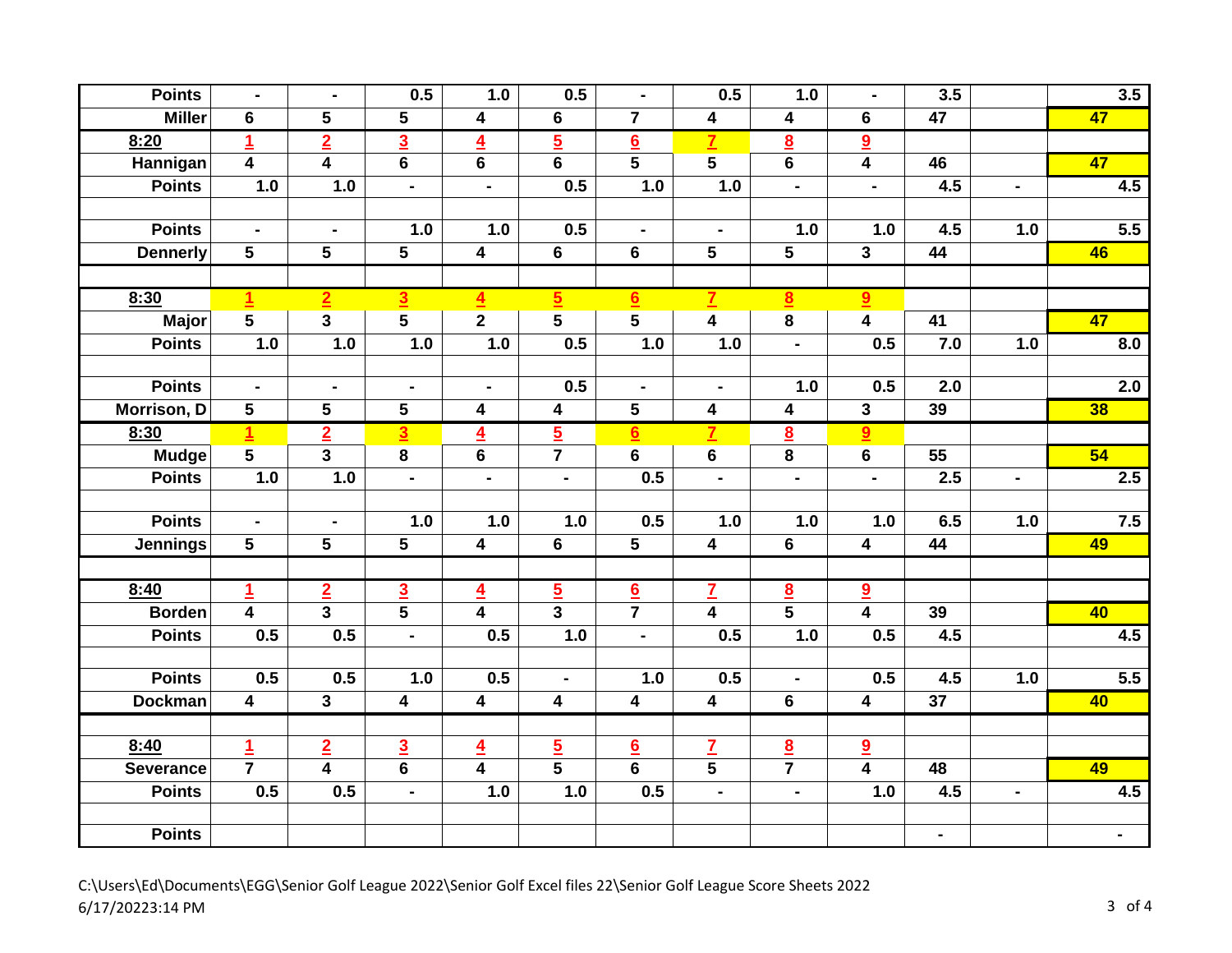| <b>Points</b>    | $\blacksquare$          | $\blacksquare$          | 0.5                                  | 1.0                     | 0.5                     | $\blacksquare$          | 0.5                     | 1.0                      | ä,                      | 3.5            |                | 3.5              |
|------------------|-------------------------|-------------------------|--------------------------------------|-------------------------|-------------------------|-------------------------|-------------------------|--------------------------|-------------------------|----------------|----------------|------------------|
| <b>Miller</b>    | 6                       | 5                       | 5                                    | $\overline{\mathbf{4}}$ | $6\phantom{a}$          | $\overline{7}$          | 4                       | 4                        | $6\phantom{a}$          | 47             |                | 47               |
| 8:20             | <u>1</u>                | $\overline{2}$          | $\overline{3}$                       | $\overline{4}$          | $\overline{5}$          | $6 \overline{6}$        | $\overline{I}$          | $\underline{\mathbf{8}}$ | 9                       |                |                |                  |
| Hannigan         | $\overline{4}$          | 4                       | $6\phantom{a}$                       | $6\overline{6}$         | $6\overline{6}$         | $5\overline{)}$         | $\overline{\mathbf{5}}$ | $6\overline{6}$          | 4                       | 46             |                | 47               |
| <b>Points</b>    | 1.0                     | 1.0                     | $\blacksquare$                       | $\blacksquare$          | 0.5                     | 1.0                     | 1.0                     | ÷,                       | $\blacksquare$          | 4.5            | $\blacksquare$ | 4.5              |
|                  |                         |                         |                                      |                         |                         |                         |                         |                          |                         |                |                |                  |
| <b>Points</b>    | $\blacksquare$          | $\blacksquare$          | 1.0                                  | 1.0                     | 0.5                     | $\blacksquare$          | $\blacksquare$          | 1.0                      | 1.0                     | 4.5            | 1.0            | $\overline{5.5}$ |
| <b>Dennerly</b>  | 5                       | $\overline{5}$          | $\overline{5}$                       | $\overline{\mathbf{4}}$ | $6\phantom{1}$          | $6\phantom{a}$          | $\overline{5}$          | $\overline{5}$           | $\overline{\mathbf{3}}$ | 44             |                | 46               |
|                  |                         |                         |                                      |                         |                         |                         |                         |                          |                         |                |                |                  |
| 8:30             | $\overline{1}$          | $\overline{2}$          | $\overline{3}$                       | $\overline{4}$          | $\overline{5}$          | 6                       | $\overline{I}$          | $\underline{8}$          | 9                       |                |                |                  |
| <b>Major</b>     | $\overline{\mathbf{5}}$ | $\overline{\mathbf{3}}$ | $\overline{\overline{\mathbf{5}}}$   | $\overline{2}$          | $\overline{\mathbf{5}}$ | $\overline{\mathbf{5}}$ | $\overline{4}$          | $\overline{\mathbf{8}}$  | $\overline{\mathbf{4}}$ | 41             |                | 47               |
| <b>Points</b>    | 1.0                     | $1.0$                   | $1.0$                                | 1.0                     | 0.5                     | 1.0                     | $1.0$                   | $\blacksquare$           | 0.5                     | 7.0            | 1.0            | 8.0              |
|                  |                         |                         |                                      |                         |                         |                         |                         |                          |                         |                |                |                  |
| <b>Points</b>    | $\blacksquare$          | $\blacksquare$          | $\blacksquare$                       | $\blacksquare$          | 0.5                     | $\blacksquare$          | $\blacksquare$          | 1.0                      | 0.5                     | 2.0            |                | 2.0              |
| Morrison, D      | 5                       | 5                       | 5                                    | 4                       | $\overline{\mathbf{4}}$ | 5                       | $\overline{\mathbf{4}}$ | 4                        | $\overline{\mathbf{3}}$ | 39             |                | 38               |
| 8:30             | $\overline{\mathbf{1}}$ | $\overline{2}$          | $\overline{3}$                       | $\overline{4}$          | $\overline{5}$          | 6                       | $\overline{\mathbf{r}}$ | $\underline{8}$          | 9                       |                |                |                  |
| <b>Mudge</b>     | $\overline{\mathbf{5}}$ | $\overline{\mathbf{3}}$ | 8                                    | $6\phantom{a}$          | $\overline{7}$          | $6\phantom{a}$          | 6                       | 8                        | $6\phantom{a}$          | 55             |                | 54               |
| <b>Points</b>    | 1.0                     | 1.0                     | ä,                                   | $\blacksquare$          | $\blacksquare$          | 0.5                     | $\blacksquare$          | $\blacksquare$           | $\blacksquare$          | 2.5            | $\blacksquare$ | 2.5              |
|                  |                         |                         |                                      |                         |                         |                         |                         |                          |                         |                |                |                  |
| <b>Points</b>    | $\blacksquare$          | $\blacksquare$          | 1.0                                  | 1.0                     | 1.0                     | 0.5                     | 1.0                     | 1.0                      | 1.0                     | 6.5            | 1.0            | 7.5              |
| <b>Jennings</b>  | $\overline{5}$          | $\overline{5}$          | $\overline{\mathbf{5}}$              | 4                       | $6\phantom{a}$          | $\overline{5}$          | 4                       | $6\phantom{a}$           | $\overline{4}$          | 44             |                | 49               |
|                  |                         |                         |                                      |                         |                         |                         |                         |                          |                         |                |                |                  |
| 8:40             | $\overline{1}$          | $\overline{2}$          | $\overline{3}$                       | $\overline{4}$          | $\overline{5}$          | $\underline{6}$         | $\overline{\mathbf{Z}}$ | $\underline{8}$          | 9                       |                |                |                  |
| <b>Borden</b>    | $\overline{\mathbf{4}}$ | $\overline{\mathbf{3}}$ | $\overline{\overline{\overline{5}}}$ | $\overline{\mathbf{4}}$ | $\overline{\mathbf{3}}$ | $\overline{7}$          | $\overline{\mathbf{4}}$ | $\overline{5}$           | 4                       | 39             |                | 40               |
| <b>Points</b>    | 0.5                     | 0.5                     | $\blacksquare$                       | 0.5                     | $1.0$                   | $\blacksquare$          | 0.5                     | $1.0$                    | 0.5                     | 4.5            |                | 4.5              |
|                  |                         |                         |                                      |                         |                         |                         |                         |                          |                         |                |                |                  |
| <b>Points</b>    | 0.5                     | 0.5                     | 1.0                                  | 0.5                     | $\blacksquare$          | 1.0                     | 0.5                     | $\blacksquare$           | 0.5                     | 4.5            | 1.0            | 5.5              |
| <b>Dockman</b>   | 4                       | $\overline{\mathbf{3}}$ | 4                                    | 4                       | 4                       | 4                       | 4                       | $6\phantom{a}$           | 4                       | 37             |                | 40               |
|                  |                         |                         |                                      |                         |                         |                         |                         |                          |                         |                |                |                  |
| 8:40             | $\overline{1}$          | $\overline{2}$          | $\overline{3}$                       | $\overline{4}$          | $\overline{5}$          | $\underline{6}$         | $\overline{I}$          | $\underline{8}$          | $\overline{\mathbf{g}}$ |                |                |                  |
| <b>Severance</b> | $\overline{7}$          | 4                       | $6\phantom{a}$                       | $\overline{\mathbf{4}}$ | $\overline{\mathbf{5}}$ | $6\overline{6}$         | 5                       | $\overline{7}$           | 4                       | 48             |                | 49               |
| <b>Points</b>    | 0.5                     | 0.5                     | $\blacksquare$                       | 1.0                     | $1.0$                   | 0.5                     | $\blacksquare$          | $\blacksquare$           | 1.0                     | 4.5            | $\blacksquare$ | 4.5              |
|                  |                         |                         |                                      |                         |                         |                         |                         |                          |                         |                |                |                  |
| <b>Points</b>    |                         |                         |                                      |                         |                         |                         |                         |                          |                         | $\blacksquare$ |                | ÷.               |